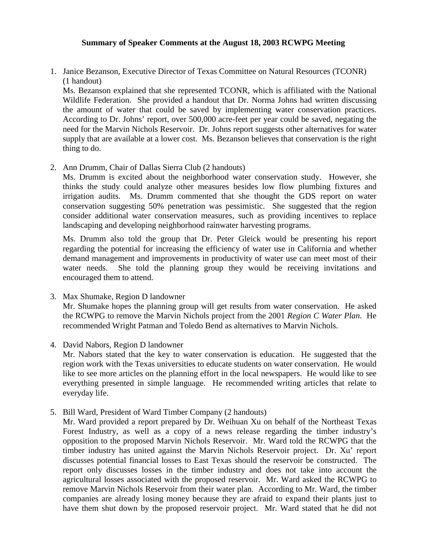## **Summary of Speaker Comments at the August 18, 2003 RCWPG Meeting**

1. Janice Bezanson, Executive Director of Texas Committee on Natural Resources (TCONR) (1 handout)

Ms. Bezanson explained that she represented TCONR, which is affiliated with the National Wildlife Federation. She provided a handout that Dr. Norma Johns had written discussing the amount of water that could be saved by implementing water conservation practices. According to Dr. Johns' report, over 500,000 acre-feet per year could be saved, negating the need for the Marvin Nichols Reservoir. Dr. Johns report suggests other alternatives for water supply that are available at a lower cost. Ms. Bezanson believes that conservation is the right thing to do.

2. Ann Drumm, Chair of Dallas Sierra Club (2 handouts)

Ms. Drumm is excited about the neighborhood water conservation study. However, she thinks the study could analyze other measures besides low flow plumbing fixtures and irrigation audits. Ms. Drumm commented that she thought the GDS report on water conservation suggesting 50% penetration was pessimistic. She suggested that the region consider additional water conservation measures, such as providing incentives to replace landscaping and developing neighborhood rainwater harvesting programs.

Ms. Drumm also told the group that Dr. Peter Gleick would be presenting his report regarding the potential for increasing the efficiency of water use in California and whether demand management and improvements in productivity of water use can meet most of their water needs. She told the planning group they would be receiving invitations and encouraged them to attend.

- 3. Max Shumake, Region D landowner Mr. Shumake hopes the planning group will get results from water conservation. He asked the RCWPG to remove the Marvin Nichols project from the 2001 *Region C Water Plan*. He recommended Wright Patman and Toledo Bend as alternatives to Marvin Nichols.
- 4. David Nabors, Region D landowner

Mr. Nabors stated that the key to water conservation is education. He suggested that the region work with the Texas universities to educate students on water conservation. He would like to see more articles on the planning effort in the local newspapers. He would like to see everything presented in simple language. He recommended writing articles that relate to everyday life.

5. Bill Ward, President of Ward Timber Company (2 handouts)

Mr. Ward provided a report prepared by Dr. Weihuan Xu on behalf of the Northeast Texas Forest Industry, as well as a copy of a news release regarding the timber industry's opposition to the proposed Marvin Nichols Reservoir. Mr. Ward told the RCWPG that the timber industry has united against the Marvin Nichols Reservoir project. Dr. Xu' report discusses potential financial losses to East Texas should the reservoir be constructed. The report only discusses losses in the timber industry and does not take into account the agricultural losses associated with the proposed reservoir. Mr. Ward asked the RCWPG to remove Marvin Nichols Reservoir from their water plan. According to Mr. Ward, the timber companies are already losing money because they are afraid to expand their plants just to have them shut down by the proposed reservoir project. Mr. Ward stated that he did not